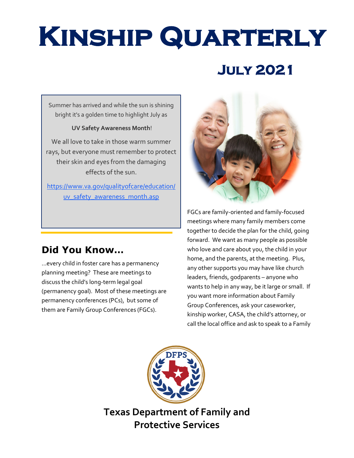# **Kinship Quarterly**

## **July 2021**

Summer has arrived and while the sun is shining bright it's a golden time to highlight July as

#### **UV Safety Awareness Month**!

We all love to take in those warm summer rays, but everyone must remember to protect their skin and eyes from the damaging effects of the sun.

[https://www.va.gov/qualityofcare/education/](https://www.va.gov/qualityofcare/education/uv_safety_awareness_month.asp) [uv\\_safety\\_awareness\\_month.asp](https://www.va.gov/qualityofcare/education/uv_safety_awareness_month.asp)

## **Did You Know…**

...every child in foster care has a permanency planning meeting? These are meetings to discuss the child's long-term legal goal (permanency goal). Most of these meetings are permanency conferences (PCs), but some of them are Family Group Conferences (FGCs).



FGCs are family-oriented and family-focused meetings where many family members come together to decide the plan for the child, going forward. We want as many people as possible who love and care about you, the child in your home, and the parents, at the meeting. Plus, any other supports you may have like church leaders, friends, godparents – anyone who wants to help in any way, be it large or small. If you want more information about Family Group Conferences, ask your caseworker, kinship worker, CASA, the child's attorney, or call the local office and ask to speak to a Family



**Texas Department of Family and Protective Services**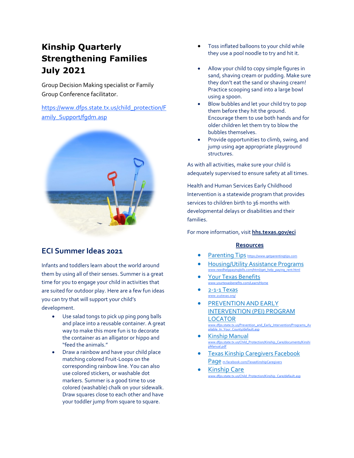### **Kinship Quarterly Strengthening Families July 2021**

Group Decision Making specialist or Family Group Conference facilitator.

[https://www.dfps.state.tx.us/child\\_protection/F](https://www.dfps.state.tx.us/child_protection/Family_Support/fgdm.asp) [amily\\_Support/fgdm.asp](https://www.dfps.state.tx.us/child_protection/Family_Support/fgdm.asp)



#### **ECI Summer Ideas 2021**

Infants and toddlers learn about the world around them by using all of their senses. Summer is a great time for you to engage your child in activities that are suited for outdoor play. Here are a few fun ideas you can try that will support your child's development.

- Use salad tongs to pick up ping pong balls and place into a reusable container. A great way to make this more fun is to decorate the container as an alligator or hippo and "feed the animals."
- Draw a rainbow and have your child place matching colored Fruit-Loops on the corresponding rainbow line. You can also use colored stickers, or washable dot markers. Summer is a good time to use colored (washable) chalk on your sidewalk. Draw squares close to each other and have your toddler jump from square to square.
- Toss inflated balloons to your child while they use a pool noodle to try and hit it.
- Allow your child to copy simple figures in sand, shaving cream or pudding. Make sure they don't eat the sand or shaving cream! Practice scooping sand into a large bowl using a spoon.
- Blow bubbles and let your child try to pop them before they hit the ground. Encourage them to use both hands and for older children let them try to blow the bubbles themselves.
- Provide opportunities to climb, swing, and jump using age appropriate playground structures.

As with all activities, make sure your child is adequately supervised to ensure safety at all times.

Health and Human Services Early Childhood Intervention is a statewide program that provides services to children birth to 36 months with developmental delays or disabilities and their families.

For more information, visit **[hhs.texas.gov/eci](https://hhs.texas.gov/services/disability/early-childhood-intervention-services)**

#### **Resources**

- [Parenting](https://www.getparentingtips.com/) Tips [https://www.getparentingtips.com](https://www.getparentingtips.com/)
- [Housing/Utility Assistance Programs](https://www.needhelppayingbills.com/html/get_help_paying_rent.html) [www.needhelppayingbills.com/html/get\\_help\\_paying\\_rent.html](http://www.needhelppayingbills.com/html/get_help_paying_rent.html)
- [Your Texas Benefits](https://www.yourtexasbenefits.com/Learn/Home) www.yourtexashenefits.com/Learn/H
- 2-1-1 Texas
- [PREVENTION AND EARLY](http://www.dfps.state.tx.us/Prevention_and_Early_Intervention/Programs_Available_In_Your_County/default.asp) [INTERVENTION \(PEI\) PROGRAM](http://www.dfps.state.tx.us/Prevention_and_Early_Intervention/Programs_Available_In_Your_County/default.asp)  [LOCATOR](http://www.dfps.state.tx.us/Prevention_and_Early_Intervention/Programs_Available_In_Your_County/default.asp) [www.dfps.state.tx.us/Prevention\\_and\\_Early\\_Intervention/Programs\\_Av](http://www.dfps.state.tx.us/Prevention_and_Early_Intervention/Programs_Available_In_Your_County/default.asp) [ailable\\_In\\_Your\\_County/default.asp](http://www.dfps.state.tx.us/Prevention_and_Early_Intervention/Programs_Available_In_Your_County/default.asp)
- [Kinship Manual](https://www.dfps.state.tx.us/Child_Protection/Kinship_Care/documents/KinshipManual.pdf) [www.dfps.state.tx.us/Child\\_Protection/Kinship\\_Care/documents/Kinshi](http://www.dfps.state.tx.us/Child_Protection/Kinship_Care/documents/KinshipManual.pdf) [pManual.pdf](http://www.dfps.state.tx.us/Child_Protection/Kinship_Care/documents/KinshipManual.pdf)
- [Texas Kinship Caregivers Facebook](https://www.facebook.com/TexasKinshipCaregivers)  [Page](https://www.facebook.com/TexasKinshipCaregivers) [m.facebook.com/TexasKinshipCaregivers](https://m.facebook.com/TexasKinshipCaregivers)
- [Kinship Care](http://www.dfps.state.tx.us/Child_Protection/Kinship_Care/default.asp) [www.dfps.state.tx.us/Child\\_Protection/Kinship\\_Care/default.asp](http://www.dfps.state.tx.us/Child_Protection/Kinship_Care/default.asp)